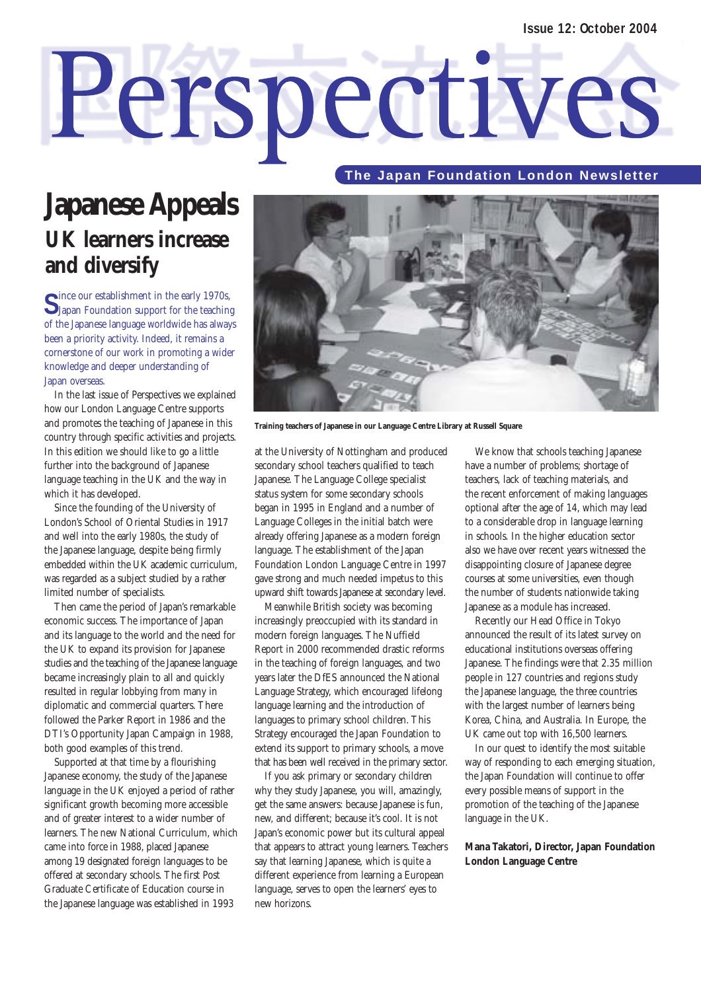# Perspectives

#### **The Japan Foundation London Newsletter**

# **Japanese Appeals UK learners increase and diversify**

Since our establishment in the early 1970s,<br>Slapan Foundation support for the teaching of the Japanese language worldwide has always been a priority activity. Indeed, it remains a cornerstone of our work in promoting a wider knowledge and deeper understanding of Japan overseas.

In the last issue of Perspectives we explained how our London Language Centre supports and promotes the teaching of Japanese in this country through specific activities and projects. In this edition we should like to go a little further into the background of Japanese language teaching in the UK and the way in which it has developed.

Since the founding of the University of London's School of Oriental Studies in 1917 and well into the early 1980s, the study of the Japanese language, despite being firmly embedded within the UK academic curriculum, was regarded as a subject studied by a rather limited number of specialists.

Then came the period of Japan's remarkable economic success. The importance of Japan and its language to the world and the need for the UK to expand its provision for Japanese studies and the teaching of the Japanese language became increasingly plain to all and quickly resulted in regular lobbying from many in diplomatic and commercial quarters. There followed the Parker Report in 1986 and the DTI's Opportunity Japan Campaign in 1988, both good examples of this trend.

Supported at that time by a flourishing Japanese economy, the study of the Japanese language in the UK enjoyed a period of rather significant growth becoming more accessible and of greater interest to a wider number of learners. The new National Curriculum, which came into force in 1988, placed Japanese among 19 designated foreign languages to be offered at secondary schools. The first Post Graduate Certificate of Education course in the Japanese language was established in 1993



**Training teachers of Japanese in our Language Centre Library at Russell Square**

at the University of Nottingham and produced secondary school teachers qualified to teach Japanese. The Language College specialist status system for some secondary schools began in 1995 in England and a number of Language Colleges in the initial batch were already offering Japanese as a modern foreign language. The establishment of the Japan Foundation London Language Centre in 1997 gave strong and much needed impetus to this upward shift towards Japanese at secondary level.

Meanwhile British society was becoming increasingly preoccupied with its standard in modern foreign languages. The Nuffield Report in 2000 recommended drastic reforms in the teaching of foreign languages, and two years later the DfES announced the National Language Strategy, which encouraged lifelong language learning and the introduction of languages to primary school children. This Strategy encouraged the Japan Foundation to extend its support to primary schools, a move that has been well received in the primary sector.

If you ask primary or secondary children why they study Japanese, you will, amazingly, get the same answers: because Japanese is fun, new, and different; because it's cool. It is not Japan's economic power but its cultural appeal that appears to attract young learners. Teachers say that learning Japanese, which is quite a different experience from learning a European language, serves to open the learners' eyes to new horizons.

We know that schools teaching Japanese have a number of problems; shortage of teachers, lack of teaching materials, and the recent enforcement of making languages optional after the age of 14, which may lead to a considerable drop in language learning in schools. In the higher education sector also we have over recent years witnessed the disappointing closure of Japanese degree courses at some universities, even though the number of students nationwide taking Japanese as a module has increased.

Recently our Head Office in Tokyo announced the result of its latest survey on educational institutions overseas offering Japanese. The findings were that 2.35 million people in 127 countries and regions study the Japanese language, the three countries with the largest number of learners being Korea, China, and Australia. In Europe, the UK came out top with 16,500 learners.

In our quest to identify the most suitable way of responding to each emerging situation, the Japan Foundation will continue to offer every possible means of support in the promotion of the teaching of the Japanese language in the UK.

#### **Mana Takatori, Director, Japan Foundation London Language Centre**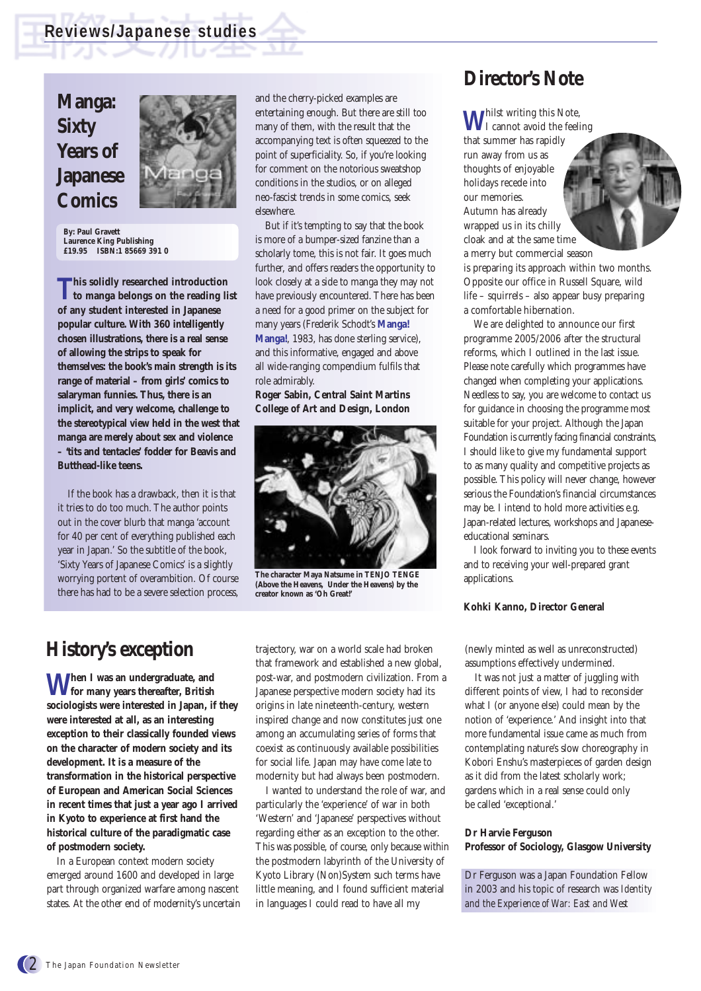# **Manga: Sixty Years of Japanese Comics**



**By: Paul Gravett Laurence King Publishing £19.95 ISBN:1 85669 391 0**

**This solidly researched introduction to manga belongs on the reading list of any student interested in Japanese popular culture. With 360 intelligently chosen illustrations, there is a real sense of allowing the strips to speak for themselves: the book's main strength is its range of material – from girls' comics to salaryman funnies. Thus, there is an implicit, and very welcome, challenge to the stereotypical view held in the west that manga are merely about sex and violence – 'tits and tentacles' fodder for Beavis and Butthead-like teens.** 

If the book has a drawback, then it is that it tries to do too much. The author points out in the cover blurb that manga 'account for 40 per cent of everything published each year in Japan.' So the subtitle of the book, 'Sixty Years of Japanese Comics' is a slightly worrying portent of overambition. Of course there has had to be a severe selection process, and the cherry-picked examples are entertaining enough. But there are still too many of them, with the result that the accompanying text is often squeezed to the point of superficiality. So, if you're looking for comment on the notorious sweatshop conditions in the studios, or on alleged neo-fascist trends in some comics, seek elsewhere.

But if it's tempting to say that the book is more of a bumper-sized fanzine than a scholarly tome, this is not fair. It goes much further, and offers readers the opportunity to look closely at a side to manga they may not have previously encountered. There has been a need for a good primer on the subject for many years (Frederik Schodt's **Manga! Manga!**, 1983, has done sterling service), and this informative, engaged and above all wide-ranging compendium fulfils that role admirably.

**Roger Sabin, Central Saint Martins College of Art and Design, London** 



**The character Maya Natsume in TENJO TENGE (Above the Heavens, Under the Heavens) by the creator known as 'Oh Great!'**

# **History's exception**

**When I was an undergraduate, and for many years thereafter, British sociologists were interested in Japan, if they were interested at all, as an interesting exception to their classically founded views on the character of modern society and its development. It is a measure of the transformation in the historical perspective of European and American Social Sciences in recent times that just a year ago I arrived in Kyoto to experience at first hand the historical culture of the paradigmatic case of postmodern society.**

In a European context modern society emerged around 1600 and developed in large part through organized warfare among nascent states. At the other end of modernity's uncertain trajectory, war on a world scale had broken that framework and established a new global, post-war, and postmodern civilization. From a Japanese perspective modern society had its origins in late nineteenth-century, western inspired change and now constitutes just one among an accumulating series of forms that coexist as continuously available possibilities for social life. Japan may have come late to modernity but had always been postmodern.

I wanted to understand the role of war, and particularly the 'experience' of war in both 'Western' and 'Japanese' perspectives without regarding either as an exception to the other. This was possible, of course, only because within the postmodern labyrinth of the University of Kyoto Library (Non)System such terms have little meaning, and I found sufficient material in languages I could read to have all my

## **Director's Note**

**W**hilst writing this Note, I cannot avoid the feeling that summer has rapidly run away from us as thoughts of enjoyable holidays recede into our memories. Autumn has already wrapped us in its chilly cloak and at the same time a merry but commercial season is preparing its approach within two months. Opposite our office in Russell Square, wild life – squirrels – also appear busy preparing a comfortable hibernation.

We are delighted to announce our first programme 2005/2006 after the structural reforms, which I outlined in the last issue. Please note carefully which programmes have changed when completing your applications. Needless to say, you are welcome to contact us for guidance in choosing the programme most suitable for your project. Although the Japan Foundation is currently facing financial constraints, I should like to give my fundamental support to as many quality and competitive projects as possible. This policy will never change, however serious the Foundation's financial circumstances may be. I intend to hold more activities e.g. Japan-related lectures, workshops and Japaneseeducational seminars.

I look forward to inviting you to these events and to receiving your well-prepared grant applications.

#### **Kohki Kanno, Director General**

(newly minted as well as unreconstructed) assumptions effectively undermined.

It was not just a matter of juggling with different points of view, I had to reconsider what I (or anyone else) could mean by the notion of 'experience.' And insight into that more fundamental issue came as much from contemplating nature's slow choreography in Kobori Enshu's masterpieces of garden design as it did from the latest scholarly work; gardens which in a real sense could only be called 'exceptional.'

#### **Dr Harvie Ferguson Professor of Sociology, Glasgow University**

Dr Ferguson was a Japan Foundation Fellow in 2003 and his topic of research was *Identity and the Experience of War: East and West*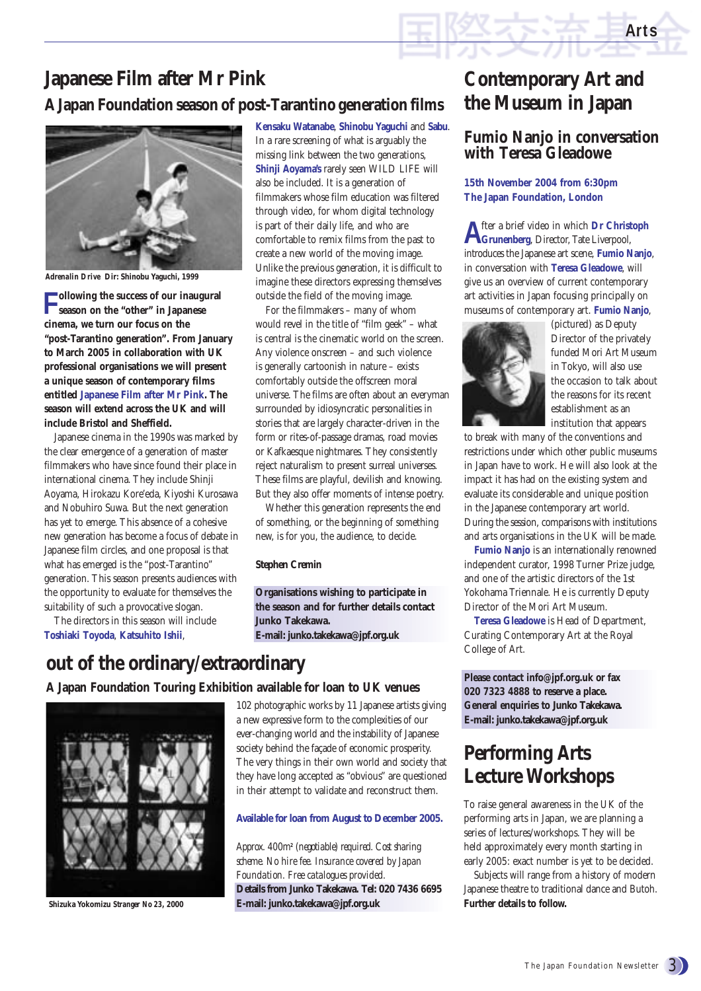# **Japanese Film after Mr Pink A Japan Foundation season of post-Tarantino generation films**



*Adrenalin Drive* **Dir: Shinobu Yaguchi, 1999**

**Following the success of our inaugural season on the "other" in Japanese cinema, we turn our focus on the "post-Tarantino generation". From January to March 2005 in collaboration with UK professional organisations we will present a unique season of contemporary films entitled Japanese Film after Mr Pink. The season will extend across the UK and will include Bristol and Sheffield.**

Japanese cinema in the 1990s was marked by the clear emergence of a generation of master filmmakers who have since found their place in international cinema. They include Shinji Aoyama, Hirokazu Kore'eda, Kiyoshi Kurosawa and Nobuhiro Suwa. But the next generation has yet to emerge. This absence of a cohesive new generation has become a focus of debate in Japanese film circles, and one proposal is that what has emerged is the "post-Tarantino" generation. This season presents audiences with the opportunity to evaluate for themselves the suitability of such a provocative slogan.

The directors in this season will include **Toshiaki Toyoda**, **Katsuhito Ishii**,

**Kensaku Watanabe**, **Shinobu Yaguchi** and **Sabu**. In a rare screening of what is arguably the missing link between the two generations, **Shinji Aoyama's** rarely seen WILD LIFE will also be included. It is a generation of filmmakers whose film education was filtered through video, for whom digital technology is part of their daily life, and who are comfortable to remix films from the past to create a new world of the moving image. Unlike the previous generation, it is difficult to imagine these directors expressing themselves outside the field of the moving image.

For the filmmakers – many of whom would revel in the title of "film geek" – what is central is the cinematic world on the screen. Any violence onscreen – and such violence is generally cartoonish in nature – exists comfortably outside the offscreen moral universe. The films are often about an everyman surrounded by idiosyncratic personalities in stories that are largely character-driven in the form or rites-of-passage dramas, road movies or Kafkaesque nightmares. They consistently reject naturalism to present surreal universes. These films are playful, devilish and knowing. But they also offer moments of intense poetry.

Whether this generation represents the end of something, or the beginning of something new, is for you, the audience, to decide.

#### **Stephen Cremin**

**Organisations wishing to participate in the season and for further details contact Junko Takekawa. E-mail: junko.takekawa@jpf.org.uk**

### **out of the ordinary/extraordinary**

#### **A Japan Foundation Touring Exhibition available for loan to UK venues**



102 photographic works by 11 Japanese artists giving a new expressive form to the complexities of our ever-changing world and the instability of Japanese society behind the façade of economic prosperity. The very things in their own world and society that they have long accepted as "obvious" are questioned in their attempt to validate and reconstruct them.

#### **Available for loan from August to December 2005.**

*Approx. 400m<sup>2</sup> (negotiable) required. Cost sharing scheme. No hire fee. Insurance covered by Japan Foundation. Free catalogues provided.* **Details from Junko Takekawa. Tel: 020 7436 6695 Shizuka Yokomizu** *Stranger No 23***, 2000 E-mail: junko.takekawa@jpf.org.uk**

# **Contemporary Art and the Museum in Japan**

**Arts**

#### **Fumio Nanjo in conversation with Teresa Gleadowe**

#### **15th November 2004 from 6:30pm The Japan Foundation, London**

**A**fter a brief video in which **Dr Christoph Grunenberg**, Director, Tate Liverpool, introduces the Japanese art scene, **Fumio Nanjo**, in conversation with **Teresa Gleadowe**, will give us an overview of current contemporary art activities in Japan focusing principally on museums of contemporary art. **Fumio Nanjo**,



(pictured) as Deputy Director of the privately funded Mori Art Museum in Tokyo, will also use the occasion to talk about the reasons for its recent establishment as an institution that appears

to break with many of the conventions and restrictions under which other public museums in Japan have to work. He will also look at the impact it has had on the existing system and evaluate its considerable and unique position in the Japanese contemporary art world. During the session, comparisons with institutions and arts organisations in the UK will be made.

**Fumio Nanjo** is an internationally renowned independent curator, 1998 Turner Prize judge, and one of the artistic directors of the 1st Yokohama Triennale. He is currently Deputy Director of the Mori Art Museum.

**Teresa Gleadowe** is Head of Department, Curating Contemporary Art at the Royal College of Art.

**Please contact info@jpf.org.uk or fax 020 7323 4888 to reserve a place. General enquiries to Junko Takekawa. E-mail: junko.takekawa@jpf.org.uk**

# **Performing Arts Lecture Workshops**

To raise general awareness in the UK of the performing arts in Japan, we are planning a series of lectures/workshops. They will be held approximately every month starting in early 2005: exact number is yet to be decided.

Subjects will range from a history of modern Japanese theatre to traditional dance and Butoh. **Further details to follow.**